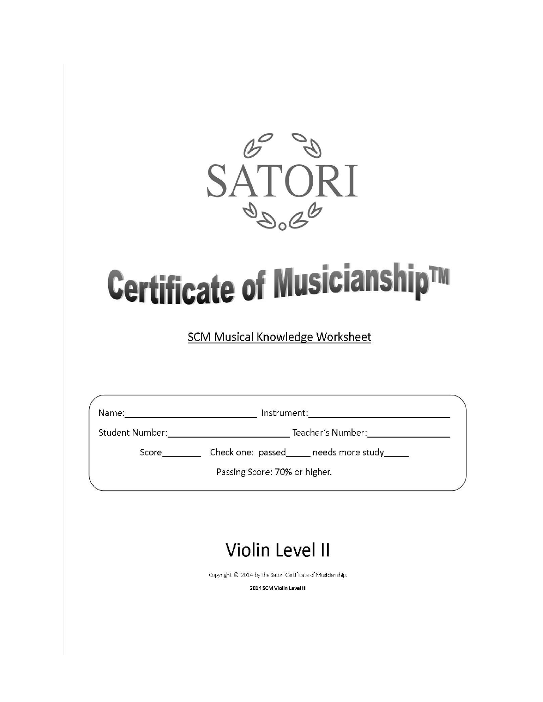

## Certificate of Musicianship™

**SCM Musical Knowledge Worksheet** 

Name: \_\_\_\_\_\_\_\_\_\_\_\_\_\_\_\_\_\_\_\_\_\_\_\_\_\_\_\_\_\_\_\_\_\_ Instrument: \_\_\_\_\_\_\_\_\_\_\_\_\_\_\_\_\_\_\_\_\_\_\_\_\_\_\_

Score\_\_\_\_\_\_\_\_\_\_\_\_ Check one: passed\_\_\_\_\_\_ needs more study\_\_\_\_\_\_

Passing Score: 70% or higher.

## **Violin Level II**

Copyright @ 2014 by the Satori Certificate of Musicianship.

2014 SCM Violin Level III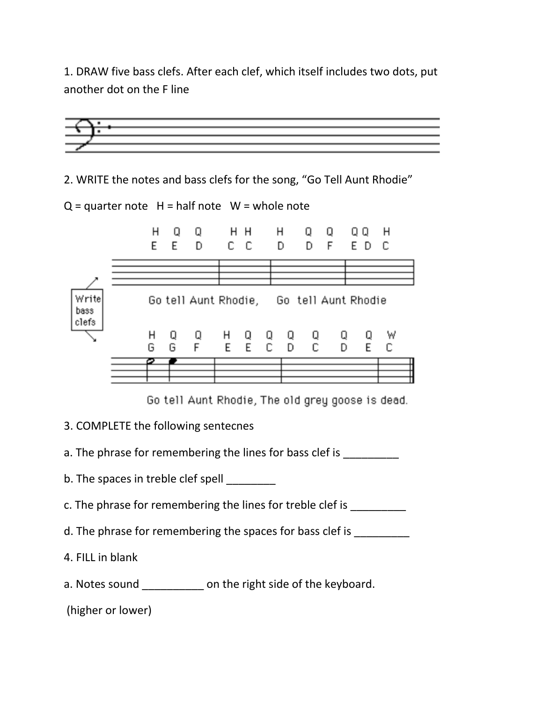1. DRAW five bass clefs. After each clef, which itself includes two dots, put another dot on the F line



2. WRITE the notes and bass clefs for the song, "Go Tell Aunt Rhodie"



Go tell Aunt Rhodie, The old grey goose is dead.

- 3. COMPLETE the following sentecnes
- a. The phrase for remembering the lines for bass clef is \_\_\_\_\_\_\_\_\_\_
- b. The spaces in treble clef spell
- c. The phrase for remembering the lines for treble clef is **which the phrase**
- d. The phrase for remembering the spaces for bass clef is
- 4. FILL in blank
- a. Notes sound \_\_\_\_\_\_\_\_\_\_ on the right side of the keyboard.

(higher or lower)